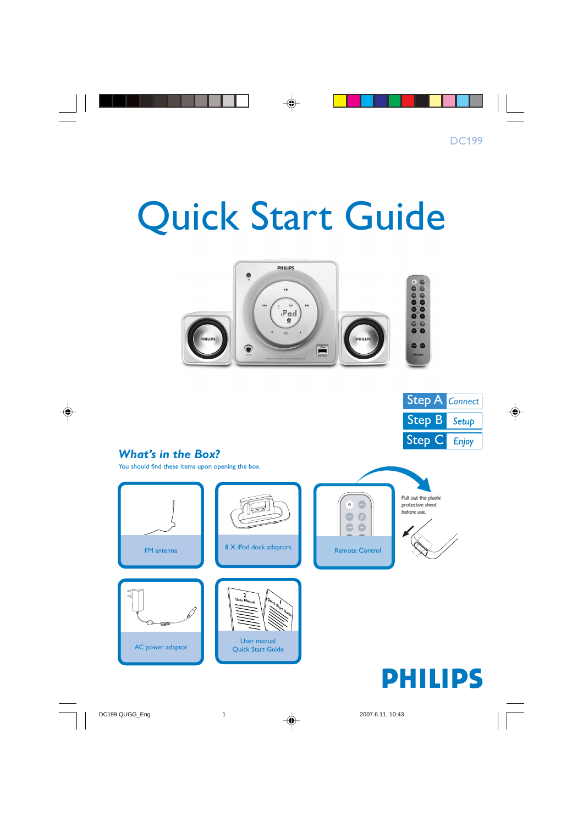# Quick Start Guide





## *What's in the Box?*

You should find these items upon opening the box.

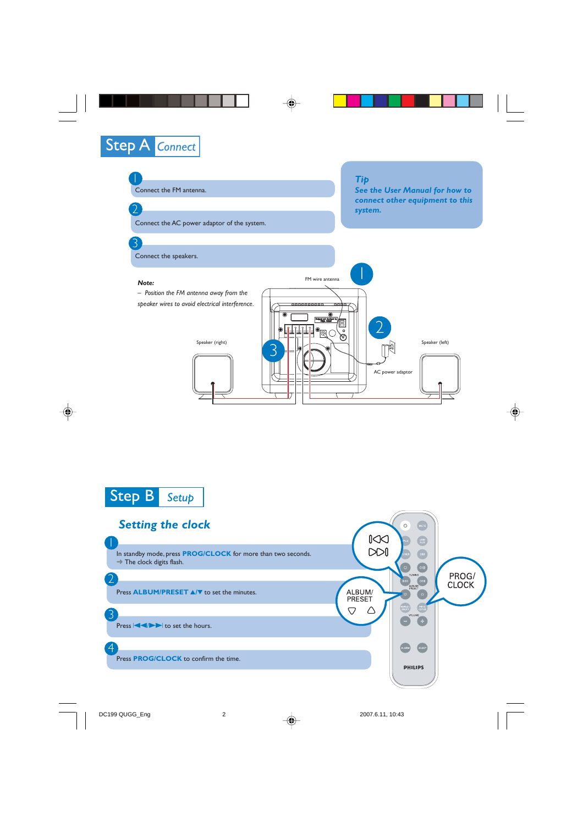





#### *Setting the clock*  $\begin{matrix} \sum \\ \sum \end{matrix}$ 1 In standby mode, press **PROG/CLOCK** for more than two seconds.  $\rightarrow$  The clock digits flash. PROG/<br>CLOCK 2 Press **ALBUM/PRESET**  $\triangle$ / $\triangledown$  to set the minutes. ALBUM/ **PRESET**  $\bigtriangledown$ △ 3 Press  $\left|\left|\left|\right|\right|\right|$  to set the hours.  $\overline{4}$ SLEEP Press **PROG/CLOCK** to confirm the time. **PHILIPS**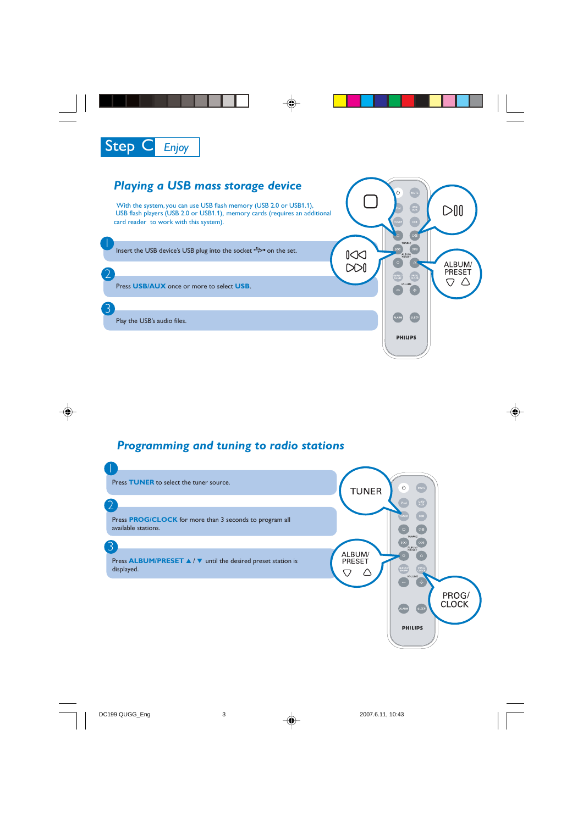

## *Playing a USB mass storage device*

With the system, you can use USB flash memory (USB 2.0 or USB1.1), USB flash players (USB 2.0 or USB1.1)**,** memory cards (requires an additional card reader to work with this system).

Insert the USB device's USB plug into the socket  $\leftrightarrow$  on the set.

Press **USB/AUX** once or more to select **USB**.

Play the USB's audio files.

 $\overline{\mathsf{I}}$ 

2

3



## *Programming and tuning to radio stations*